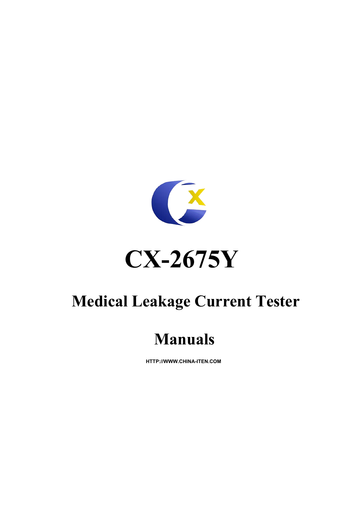

# **Medical Leakage Current Tester**

# **Manuals**

**HTTP://WWW.CHINA-ITEN.COM**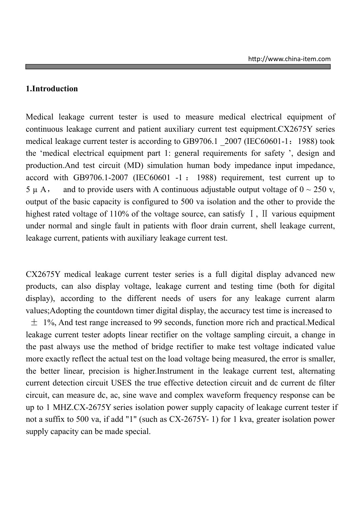#### **1.Introduction**

Medical leakage current tester is used to measure medical electrical equipment of continuous leakage current and patient auxiliary current test equipment.CX2675Y series medical leakage current tester is according to GB9706.1 2007 (IEC60601-1: 1988) took the 'medical electrical equipment part 1: general requirements for safety ', design and production.And test circuit (MD) simulation human body impedance input impedance, accord with GB9706.1-2007 (IEC60601 -1 : 1988) requirement, test current up to 5  $\mu$  A, and to provide users with A continuous adjustable output voltage of  $0 \sim 250$  v, output of the basic capacity is configured to 500 va isolation and the other to provide the highest rated voltage of 110% of the voltage source, can satisfy I, II various equipment under normal and single fault in patients with floor drain current, shell leakage current, leakage current, patients with auxiliary leakage current test.

CX2675Y medical leakage current tester series is a full digital display advanced new products, can also display voltage, leakage current and testing time (both for digital display), according to the different needs of users for any leakage current alarm values;Adopting the countdown timer digital display, the accuracy test time is increased to  $\pm$  1%. And test range increased to 99 seconds, function more rich and practical. Medical leakage current tester adopts linear rectifier on the voltage sampling circuit, a change in the past always use the method of bridge rectifier to make test voltage indicated value more exactly reflect the actual test on the load voltage being measured, the error is smaller, the better linear, precision is higher.Instrument in the leakage current test, alternating current detection circuit USES the true effective detection circuit and dc current dc filter circuit, can measure dc, ac, sine wave and complex waveform frequency response can be up to 1 MHZ.CX-2675Y series isolation power supply capacity of leakage current tester if not a suffix to 500 va, if add "1" (such as CX-2675Y- 1) for 1 kva, greater isolation power supply capacity can be made special.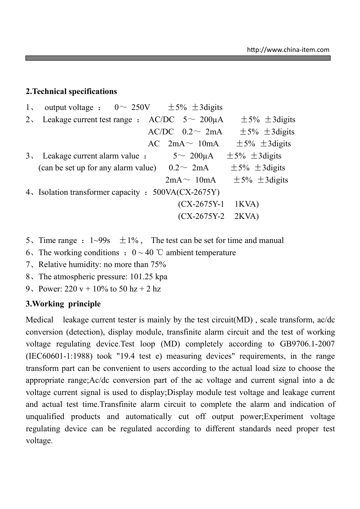#### **2.Technical specifications**

| $1_{\infty}$ | output voltage : $0 \sim 250V$ $\pm 5\%$ $\pm 3$ digits                                   |                          |                                                    |
|--------------|-------------------------------------------------------------------------------------------|--------------------------|----------------------------------------------------|
|              | 2. Leakage current test range : $AC/DC$ 5 ~ 200µA                                         |                          | $\pm$ 5% $\pm$ 3 digits                            |
|              |                                                                                           | $AC/DC$ 0.2 $\sim$ 2mA   | $\pm$ 5% $\pm$ 3 digits                            |
|              |                                                                                           | $AC \quad 2mA \sim 10mA$ | $\pm$ 5% $\pm$ 3 digits                            |
|              | 3. Leakage current alarm value :                                                          | $5 \sim 200 \mu A$       | $\pm$ 5% $\pm$ 3 digits                            |
|              | (can be set up for any alarm value) $0.2 \sim 2 \text{mA}$ $\pm 5\% \pm 3 \text{ digits}$ |                          |                                                    |
|              |                                                                                           |                          | $2mA \sim 10mA \qquad \pm 5\% \qquad \pm 3$ digits |
|              | 4. Isolation transformer capacity : 500VA(CX-2675Y)                                       |                          |                                                    |
|              |                                                                                           | $(CX-2675Y-1$ IKVA)      |                                                    |
|              |                                                                                           | $(CX-2675Y-2$ 2KVA)      |                                                    |
|              |                                                                                           |                          |                                                    |

- 5. Time range :  $1{\sim}99s$   $\pm 1\%$ , The test can be set for time and manual
- 6. The working conditions :  $0 \sim 40$  °C ambient temperature
- 7、Relative humidity: no more than 75%
- 8、The atmospheric pressure: 101.25 kpa
- 9、Power:  $220 y + 10\%$  to  $50 \text{ hz} + 2 \text{ hz}$

## **3.Working principle**

Medical leakage current tester is mainly by the test circuit(MD), scale transform, ac/dc conversion (detection), display module, transfinite alarm circuit and the test of working voltage regulating device.Test loop (MD) completely according to GB9706.1-2007 (IEC60601-1:1988) took "19.4 test e) measuring devices" requirements, in the range transform part can be convenient to users according to the actual load size to choose the appropriate range;Ac/dc conversion part of the ac voltage and current signal into a dc voltage current signal is used to display;Display module test voltage and leakage current and actual test time.Transfinite alarm circuit to complete the alarm and indication of unqualified products and automatically cut off output power;Experiment voltage regulating device can be regulated according to different standards need proper test voltage.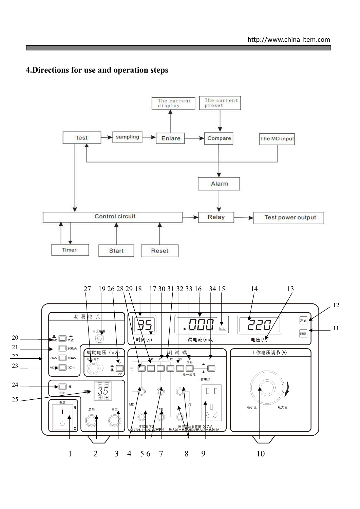# **4.Directions for use and operation steps**

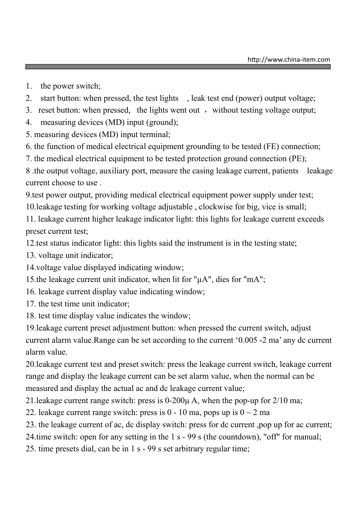- 1. the power switch;
- 2. start button: when pressed, the test lights , leak test end (power) output voltage;
- 3. reset button: when pressed, the lights went out, without testing voltage output;
- 4. measuring devices (MD) input (ground);
- 5. measuring devices (MD) input terminal;
- 6. the function of medical electrical equipment grounding to be tested (FE) connection;
- 7. the medical electrical equipment to be tested protection ground connection (PE);

8 .the output voltage, auxiliary port, measure the casing leakage current, patients leakage current choose to use .

9.test power output, providing medical electrical equipment power supply under test;

10.leakage testing for working voltage adjustable , clockwise for big, vice is small;

11. leakage current higher leakage indicator light: this lights for leakage current exceeds preset current test;

12.test status indicator light: this lights said the instrument is in the testing state;

- 13. voltage unit indicator;
- 14.voltage value displayed indicating window;
- 15.the leakage current unit indicator, when lit for "µA", dies for "mA";
- 16. leakage current display value indicating window;
- 17. the test time unit indicator;
- 18. test time display value indicates the window;

19.leakage current preset adjustment button: when pressed the current switch, adjust current alarm value.Range can be set according to the current '0.005 -2 ma' any dc current alarm value.

20.leakage current test and preset switch: press the leakage current switch, leakage current range and display the leakage current can be set alarm value, when the normal can be measured and display the actual ac and dc leakage current value;

21.leakage current range switch: press is 0-200µ A, when the pop-up for 2/10 ma;

22. leakage current range switch: press is  $0 - 10$  ma, pops up is  $0 \sim 2$  ma

- 23. the leakage current of ac, dc display switch: press for dc current ,pop up for ac current;
- 24.time switch: open for any setting in the 1 s 99 s (the countdown), "off" for manual;

25. time presets dial, can be in 1 s - 99 s set arbitrary regular time;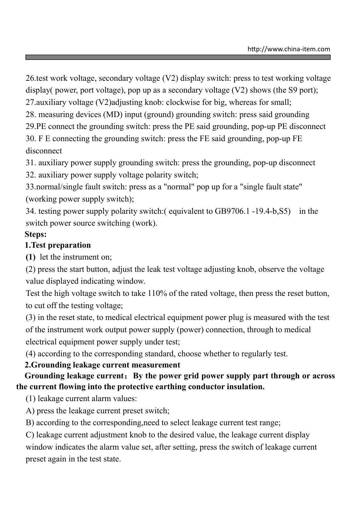26.test work voltage, secondary voltage (V2) display switch: press to test working voltage display( power, port voltage), pop up as a secondary voltage (V2) shows (the S9 port);

27.auxiliary voltage (V2)adjusting knob: clockwise for big, whereas for small;

28. measuring devices (MD) input (ground) grounding switch: press said grounding

29.PE connect the grounding switch: press the PE said grounding, pop-up PE disconnect

30. F E connecting the grounding switch: press the FE said grounding, pop-up FE disconnect

31. auxiliary power supply grounding switch: press the grounding, pop-up disconnect

32. auxiliary power supply voltage polarity switch;

33.normal/single fault switch: press as a "normal" pop up for a "single fault state" (working power supply switch);

34. testing power supply polarity switch:( equivalent to GB9706.1 -19.4-b,S5) in the switch power source switching (work).

# **Steps:**

# **1.Test preparation**

**(1)** let the instrument on;

(2) press the start button, adjust the leak test voltage adjusting knob, observe the voltage value displayed indicating window.

Test the high voltage switch to take 110% of the rated voltage, then press the reset button, to cut off the testing voltage;

(3) in the reset state, to medical electrical equipment power plug is measured with the test of the instrument work output power supply (power) connection, through to medical electrical equipment power supply under test;

(4) according to the corresponding standard, choose whether to regularly test.

# **2.Grounding leakage current measurement**

# **Grounding leakage current**:**By the power grid power supply part through or across the current flowing into the protective earthing conductor insulation.**

(1) leakage current alarm values:

A) press the leakage current preset switch;

B) according to the corresponding,need to select leakage current test range;

C) leakage current adjustment knob to the desired value, the leakage current display window indicates the alarm value set, after setting, press the switch of leakage current preset again in the test state.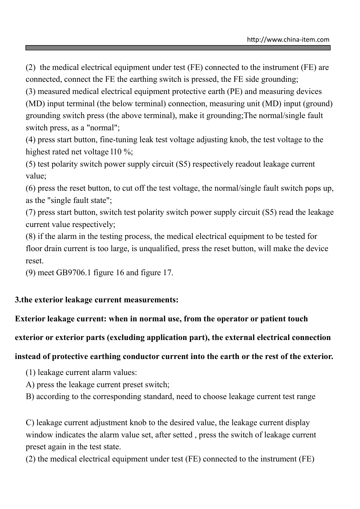(2) the medical electrical equipment under test (FE) connected to the instrument (FE) are connected, connect the FE the earthing switch is pressed, the FE side grounding;

(3) measured medical electrical equipment protective earth (PE) and measuring devices (MD) input terminal (the below terminal) connection, measuring unit (MD) input (ground) grounding switch press (the above terminal), make it grounding;The normal/single fault switch press, as a "normal";

(4) press start button, fine-tuning leak test voltage adjusting knob, the test voltage to the highest rated net voltage 110 %;

(5) test polarity switch power supply circuit (S5) respectively readout leakage current value;

(6) press the reset button, to cut off the test voltage, the normal/single fault switch pops up, as the "single fault state";

(7) press start button, switch test polarity switch power supply circuit (S5) read the leakage current value respectively;

(8) if the alarm in the testing process, the medical electrical equipment to be tested for floor drain current is too large, is unqualified, press the reset button, will make the device reset.

(9) meet GB9706.1 figure 16 and figure 17.

# **3.the exterior leakage current measurements:**

## **Exterior leakage current: when in normal use, from the operator or patient touch**

## **exterior or exterior parts (excluding application part), the external electrical connection**

## **instead of protective earthing conductor current into the earth or the rest of the exterior.**

- (1) leakage current alarm values:
- A) press the leakage current preset switch;
- B) according to the corresponding standard, need to choose leakage current test range

C) leakage current adjustment knob to the desired value, the leakage current display window indicates the alarm value set, after setted , press the switch of leakage current preset again in the test state.

(2) the medical electrical equipment under test (FE) connected to the instrument (FE)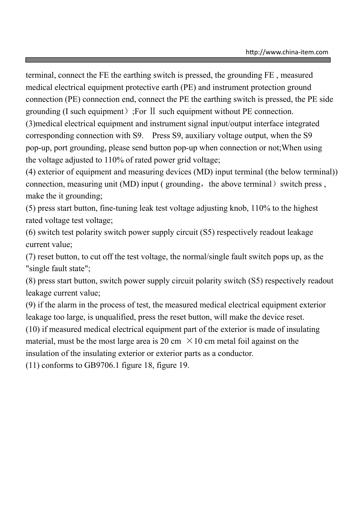terminal, connect the FE the earthing switch is pressed, the grounding FE , measured medical electrical equipment protective earth (PE) and instrument protection ground connection (PE) connection end, connect the PE the earthing switch is pressed, the PE side grounding (I such equipment);For Ⅱ such equipment without PE connection. (3)medical electrical equipment and instrument signal input/output interface integrated corresponding connection with S9. Press S9, auxiliary voltage output, when the S9 pop-up, port grounding, please send button pop-up when connection or not;When using the voltage adjusted to 110% of rated power grid voltage;

(4) exterior of equipment and measuring devices (MD) input terminal (the below terminal)) connection, measuring unit (MD) input ( grounding, the above terminal) switch press, make the it grounding;

(5) press start button, fine-tuning leak test voltage adjusting knob, 110% to the highest rated voltage test voltage;

(6) switch test polarity switch power supply circuit (S5) respectively readout leakage current value;

(7) reset button, to cut off the test voltage, the normal/single fault switch pops up, as the "single fault state";

(8) press start button, switch power supply circuit polarity switch (S5) respectively readout leakage current value;

(9) if the alarm in the process of test, the measured medical electrical equipment exterior leakage too large, is unqualified, press the reset button, will make the device reset.

(10) if measured medical electrical equipment part of the exterior is made of insulating material, must be the most large area is 20 cm  $\times$  10 cm metal foil against on the insulation of the insulating exterior or exterior parts as a conductor.

(11) conforms to GB9706.1 figure 18, figure 19.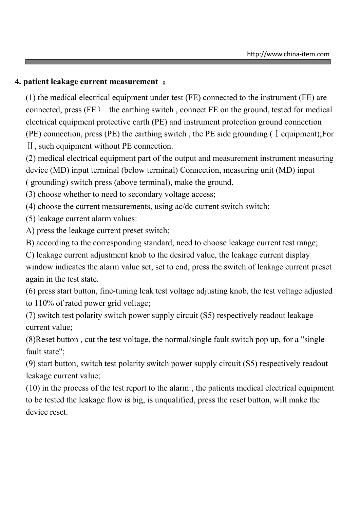#### **4. patient leakage current measurement** :

(1) the medical electrical equipment under test (FE) connected to the instrument (FE) are connected, press (FE) the earthing switch , connect FE on the ground, tested for medical electrical equipment protective earth (PE) and instrument protection ground connection  $(PE)$  connection, press  $(PE)$  the earthing switch, the PE side grounding ( I equipment);For Ⅱ, such equipment without PE connection.

(2) medical electrical equipment part of the output and measurement instrument measuring device (MD) input terminal (below terminal) Connection, measuring unit (MD) input ( grounding) switch press (above terminal), make the ground.

(3) choose whether to need to secondary voltage access;

(4) choose the current measurements, using ac/dc current switch switch;

(5) leakage current alarm values:

A) press the leakage current preset switch;

B) according to the corresponding standard, need to choose leakage current test range;

C) leakage current adjustment knob to the desired value, the leakage current display window indicates the alarm value set, set to end, press the switch of leakage current preset again in the test state.

(6) press start button, fine-tuning leak test voltage adjusting knob, the test voltage adjusted to 110% of rated power grid voltage;

(7) switch test polarity switch power supply circuit (S5) respectively readout leakage current value;

(8)Reset button , cut the test voltage, the normal/single fault switch pop up, for a "single fault state";

(9) start button, switch test polarity switch power supply circuit (S5) respectively readout leakage current value;

(10) in the process of the test report to the alarm , the patients medical electrical equipment to be tested the leakage flow is big, is unqualified, press the reset button, will make the device reset.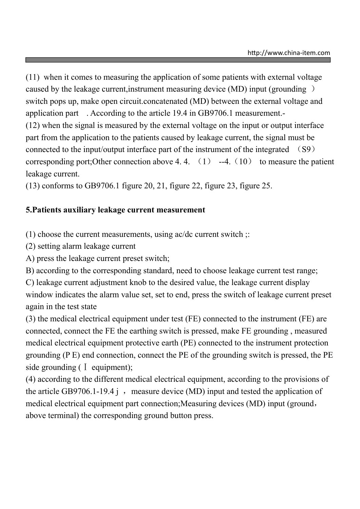(11) when it comes to measuring the application of some patients with external voltage caused by the leakage current,instrument measuring device (MD) input (grounding ) switch pops up, make open circuit.concatenated (MD) between the external voltage and application part . According to the article 19.4 in GB9706.1 measurement.- (12) when the signal is measured by the external voltage on the input or output interface part from the application to the patients caused by leakage current, the signal must be connected to the input/output interface part of the instrument of the integrated (S9) corresponding port; Other connection above 4.4.  $(1)$  --4.  $(10)$  to measure the patient leakage current.

(13) conforms to GB9706.1 figure 20, 21, figure 22, figure 23, figure 25.

# **5.Patients auxiliary leakage current measurement**

(1) choose the current measurements, using ac/dc current switch ;:

(2) setting alarm leakage current

A) press the leakage current preset switch;

B) according to the corresponding standard, need to choose leakage current test range;

C) leakage current adjustment knob to the desired value, the leakage current display window indicates the alarm value set, set to end, press the switch of leakage current preset again in the test state

(3) the medical electrical equipment under test (FE) connected to the instrument (FE) are connected, connect the FE the earthing switch is pressed, make FE grounding , measured medical electrical equipment protective earth (PE) connected to the instrument protection grounding (P E) end connection, connect the PE of the grounding switch is pressed, the PE side grounding ( I equipment);

(4) according to the different medical electrical equipment, according to the provisions of the article GB9706.1-19.4 j, measure device (MD) input and tested the application of medical electrical equipment part connection;Measuring devices (MD) input (ground, above terminal) the corresponding ground button press.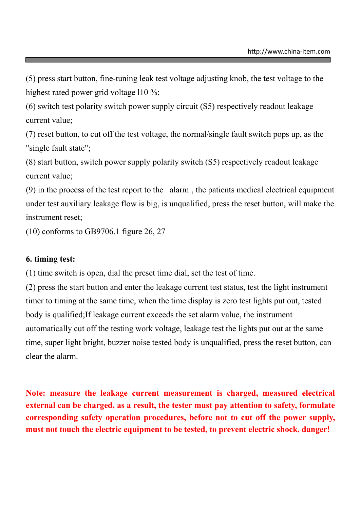(5) press start button, fine-tuning leak test voltage adjusting knob, the test voltage to the highest rated power grid voltage 110 %;

(6) switch test polarity switch power supply circuit (S5) respectively readout leakage current value;

(7) reset button, to cut off the test voltage, the normal/single fault switch pops up, as the "single fault state";

(8) start button, switch power supply polarity switch (S5) respectively readout leakage current value;

(9) in the process of the test report to the alarm , the patients medical electrical equipment under test auxiliary leakage flow is big, is unqualified, press the reset button, will make the instrument reset;

(10) conforms to GB9706.1 figure 26, 27

#### **6. timing test:**

(1) time switch is open, dial the preset time dial, set the test of time.

(2) press the start button and enter the leakage current test status, test the light instrument timer to timing at the same time, when the time display is zero test lights put out, tested body is qualified;If leakage current exceeds the set alarm value, the instrument automatically cut off the testing work voltage, leakage test the lights put out at the same time, super light bright, buzzer noise tested body is unqualified, press the reset button, can clear the alarm.

**Note: measure the leakage current measurement is charged, measured electrical external can be charged, as a result, the tester must pay attention to safety, formulate corresponding safety operation procedures, before not to cut off the power supply, must not touch the electric equipment to be tested, to prevent electric shock, danger!**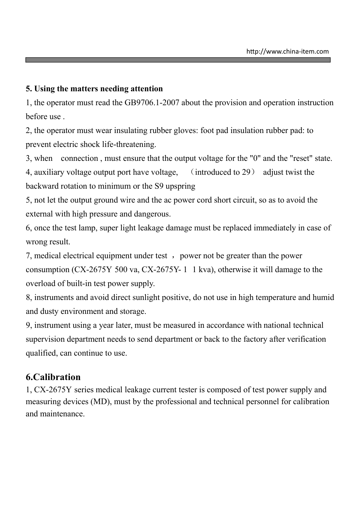#### **5. Using the matters needing attention**

1, the operator must read the GB9706.1-2007 about the provision and operation instruction before use .

2, the operator must wear insulating rubber gloves: foot pad insulation rubber pad: to prevent electric shock life-threatening.

3, when connection , must ensure that the output voltage for the "0" and the "reset" state.

4, auxiliary voltage output port have voltage, (introduced to 29) adjust twist the backward rotation to minimum or the S9 upspring

5, not let the output ground wire and the ac power cord short circuit, so as to avoid the external with high pressure and dangerous.

6, once the test lamp, super light leakage damage must be replaced immediately in case of wrong result.

7, medical electrical equipment under test, power not be greater than the power consumption (CX-2675Y 500 va, CX-2675Y- 1 1 kva), otherwise it will damage to the overload of built-in test power supply.

8, instruments and avoid direct sunlight positive, do not use in high temperature and humid and dusty environment and storage.

9, instrument using a year later, must be measured in accordance with national technical supervision department needs to send department or back to the factory after verification qualified, can continue to use.

# **6.Calibration**

1, CX-2675Y series medical leakage current tester is composed of test power supply and measuring devices (MD), must by the professional and technical personnel for calibration and maintenance.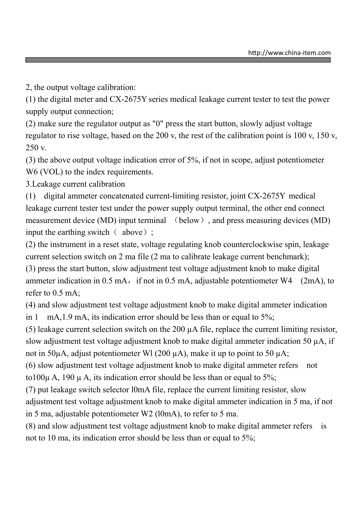2, the output voltage calibration:

(1) the digital meter and CX-2675Y series medical leakage current tester to test the power supply output connection;

(2) make sure the regulator output as "0" press the start button, slowly adjust voltage regulator to rise voltage, based on the 200 v, the rest of the calibration point is 100 v, 150 v, 250 v.

(3) the above output voltage indication error of 5%, if not in scope, adjust potentiometer W6 (VOL) to the index requirements.

3.Leakage current calibration

(1) digital ammeter concatenated current-limiting resistor, joint CX-2675Y medical leakage current tester test under the power supply output terminal, the other end connect measurement device (MD) input terminal (below), and press measuring devices (MD) input the earthing switch  $\left($  above) ;

(2) the instrument in a reset state, voltage regulating knob counterclockwise spin, leakage current selection switch on 2 ma file (2 ma to calibrate leakage current benchmark);

(3) press the start button, slow adjustment test voltage adjustment knob to make digital ammeter indication in  $0.5$  mA, if not in  $0.5$  mA, adjustable potentiometer W4 (2mA), to refer to 0.5 mA;

(4) and slow adjustment test voltage adjustment knob to make digital ammeter indication in 1 mA, 1.9 mA, its indication error should be less than or equal to 5%;

(5) leakage current selection switch on the 200 µA file, replace the current limiting resistor, slow adjustment test voltage adjustment knob to make digital ammeter indication 50  $\mu$ A, if not in 50 $\mu$ A, adjust potentiometer Wl (200 $\mu$ A), make it up to point to 50  $\mu$ A;

(6) slow adjustment test voltage adjustment knob to make digital ammeter refers not to  $100\mu$  A, 190  $\mu$  A, its indication error should be less than or equal to 5%;

(7) put leakage switch selector l0mA file, replace the current limiting resistor, slow

adjustment test voltage adjustment knob to make digital ammeter indication in 5 ma, if not in 5 ma, adjustable potentiometer W2 (l0mA), to refer to 5 ma.

(8) and slow adjustment test voltage adjustment knob to make digital ammeter refers is not to 10 ma, its indication error should be less than or equal to 5%;